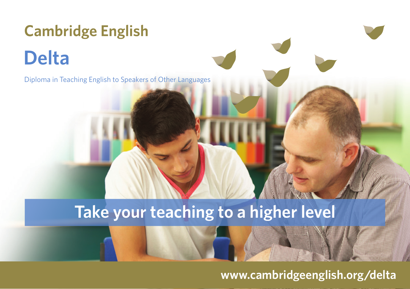## **Cambridge English Delta**

Diploma in Teaching English to Speakers of Other Languages

## **Take your teaching to a higher level**

**www.cambridgeenglish.org/delta**